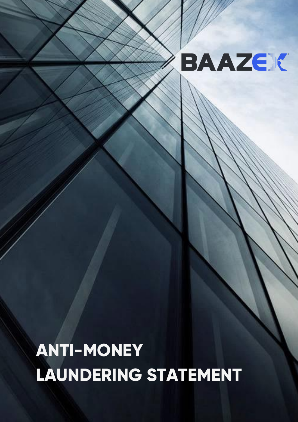# BAAZEK

# **ANTI-MONEY LAUNDERING STATEMENT**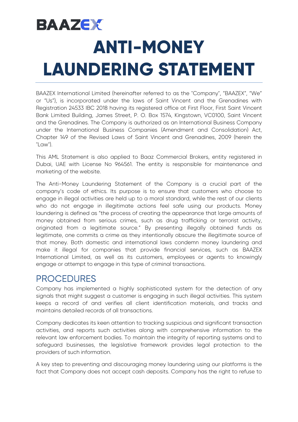## **BAAZEK ANTI-MONEY LAUNDERING STATEMENT**

BAAZEX International Limited (hereinafter referred to as the "Company", "BAAZEX", "We" or "Us"), is incorporated under the laws of Saint Vincent and the Grenadines with Registration 24533 IBC 2018 having its registered office at First Floor, First Saint Vincent Bank Limited Building, James Street, P. O. Box 1574, Kingstown, VC0100, Saint Vincent and the Grenadines. The Company is authorized as an International Business Company under the International Business Companies (Amendment and Consolidation) Act, Chapter 149 of the Revised Laws of Saint Vincent and Grenadines, 2009 (herein the "Law").

This AML Statement is also applied to Baaz Commercial Brokers, entity registered in Dubai, UAE with License No 964561. The entity is responsible for maintenance and marketing of the website.

The Anti-Money Laundering Statement of the Company is a crucial part of the company's code of ethics. Its purpose is to ensure that customers who choose to engage in illegal activities are held up to a moral standard, while the rest of our clients who do not engage in illegitimate actions feel safe using our products. Money laundering is defined as "the process of creating the appearance that large amounts of money obtained from serious crimes, such as drug trafficking or terrorist activity, originated from a legitimate source." By presenting illegally obtained funds as legitimate, one commits a crime as they intentionally obscure the illegitimate source of that money. Both domestic and international laws condemn money laundering and make it illegal for companies that provide financial services, such as BAAZEX International Limited, as well as its customers, employees or agents to knowingly engage or attempt to engage in this type of criminal transactions.

PROCEDURES<br>Company has implemented a highly sophisticated system for the detection of any signals that might suggest a customer is engaging in such illegal activities. This system keeps a record of and verifies all client identification materials, and tracks and maintains detailed records of all transactions.

Company dedicates its keen attention to tracking suspicious and significant transaction activities, and reports such activities along with comprehensive information to the relevant law enforcement bodies. To maintain the integrity of reporting systems and to safeguard businesses, the legislative framework provides legal protection to the providers of such information.

A key step to preventing and discouraging money laundering using our platforms is the fact that Company does not accept cash deposits. Company has the right to refuse to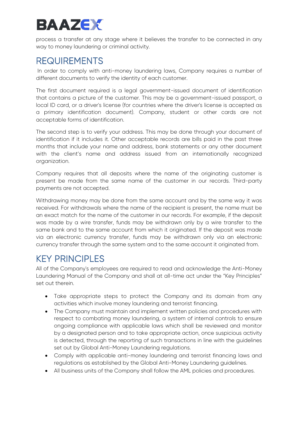### **BAAZEK**

process a transfer at any stage where it believes the transfer to be connected in any way to money laundering or criminal activity.

REQUIREMENTS<br>In order to comply with anti-money laundering laws, Company requires a number of different documents to verify the identity of each customer.

The first document required is a legal government-issued document of identification that contains a picture of the customer. This may be a government-issued passport, a local ID card, or a driver's license (for countries where the driver's license is accepted as a primary identification document). Company, student or other cards are not acceptable forms of identification.

The second step is to verify your address. This may be done through your document of identification if it includes it. Other acceptable records are bills paid in the past three months that include your name and address, bank statements or any other document with the client's name and address issued from an internationally recognized organization.

Company requires that all deposits where the name of the originating customer is present be made from the same name of the customer in our records. Third-party payments are not accepted.

Withdrawing money may be done from the same account and by the same way it was received. For withdrawals where the name of the recipient is present, the name must be an exact match for the name of the customer in our records. For example, if the deposit was made by a wire transfer, funds may be withdrawn only by a wire transfer to the same bank and to the same account from which it originated. If the deposit was made via an electronic currency transfer, funds may be withdrawn only via an electronic currency transfer through the same system and to the same account it originated from.

KEY PRINCIPLES<br>All of the Company's employees are required to read and acknowledge the Anti-Money Laundering Manual of the Company and shall at all-time act under the "Key Principles" set out therein.

- Take appropriate steps to protect the Company and its domain from any activities which involve money laundering and terrorist financing.
- The Company must maintain and implement written policies and procedures with respect to combating money laundering, a system of internal controls to ensure ongoing compliance with applicable laws which shall be reviewed and monitor by a designated person and to take appropriate action, once suspicious activity is detected, through the reporting of such transactions in line with the guidelines set out by Global Anti-Money Laundering regulations.
- Comply with applicable anti-money laundering and terrorist financing laws and regulations as established by the Global Anti-Money Laundering guidelines.
- All business units of the Company shall follow the AML policies and procedures.